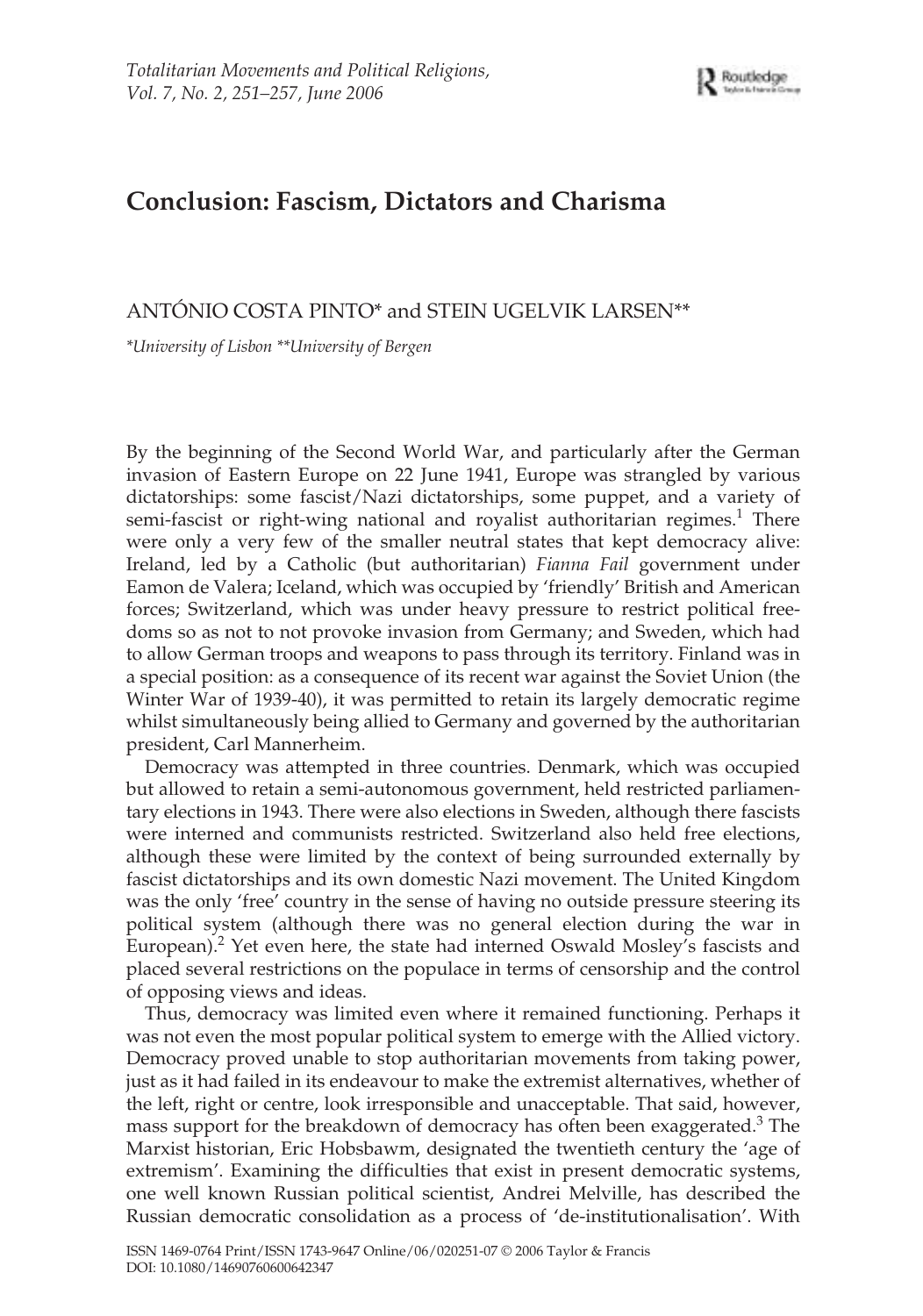## **Conclusion: Fascism, Dictators and Charisma**

ANTÓNIO COSTA PINTO\* and STEIN UGELVIK LARSEN\*\*

*\*University of Lisbon \*\*University of Bergen*

By the beginning of the Second World War, and particularly after the German invasion of Eastern Europe on 22 June 1941, Europe was strangled by various dictatorships: some fascist/Nazi dictatorships, some puppet, and a variety of semi-fascist or right-wing national and royalist authoritarian regimes.<sup>1</sup> There were only a very few of the smaller neutral states that kept democracy alive: Ireland, led by a Catholic (but authoritarian) *Fianna Fail* government under Eamon de Valera; Iceland, which was occupied by 'friendly' British and American forces; Switzerland, which was under heavy pressure to restrict political freedoms so as not to not provoke invasion from Germany; and Sweden, which had to allow German troops and weapons to pass through its territory. Finland was in a special position: as a consequence of its recent war against the Soviet Union (the Winter War of 1939-40), it was permitted to retain its largely democratic regime whilst simultaneously being allied to Germany and governed by the authoritarian president, Carl Mannerheim.

Democracy was attempted in three countries. Denmark, which was occupied but allowed to retain a semi-autonomous government, held restricted parliamentary elections in 1943. There were also elections in Sweden, although there fascists were interned and communists restricted. Switzerland also held free elections, although these were limited by the context of being surrounded externally by fascist dictatorships and its own domestic Nazi movement. The United Kingdom was the only 'free' country in the sense of having no outside pressure steering its political system (although there was no general election during the war in European).<sup>2</sup> Yet even here, the state had interned Oswald Mosley's fascists and placed several restrictions on the populace in terms of censorship and the control of opposing views and ideas.

Thus, democracy was limited even where it remained functioning. Perhaps it was not even the most popular political system to emerge with the Allied victory. Democracy proved unable to stop authoritarian movements from taking power, just as it had failed in its endeavour to make the extremist alternatives, whether of the left, right or centre, look irresponsible and unacceptable. That said, however, mass support for the breakdown of democracy has often been exaggerated.<sup>3</sup> The Marxist historian, Eric Hobsbawm, designated the twentieth century the 'age of extremism'. Examining the difficulties that exist in present democratic systems, one well known Russian political scientist, Andrei Melville, has described the Russian democratic consolidation as a process of 'de-institutionalisation'. With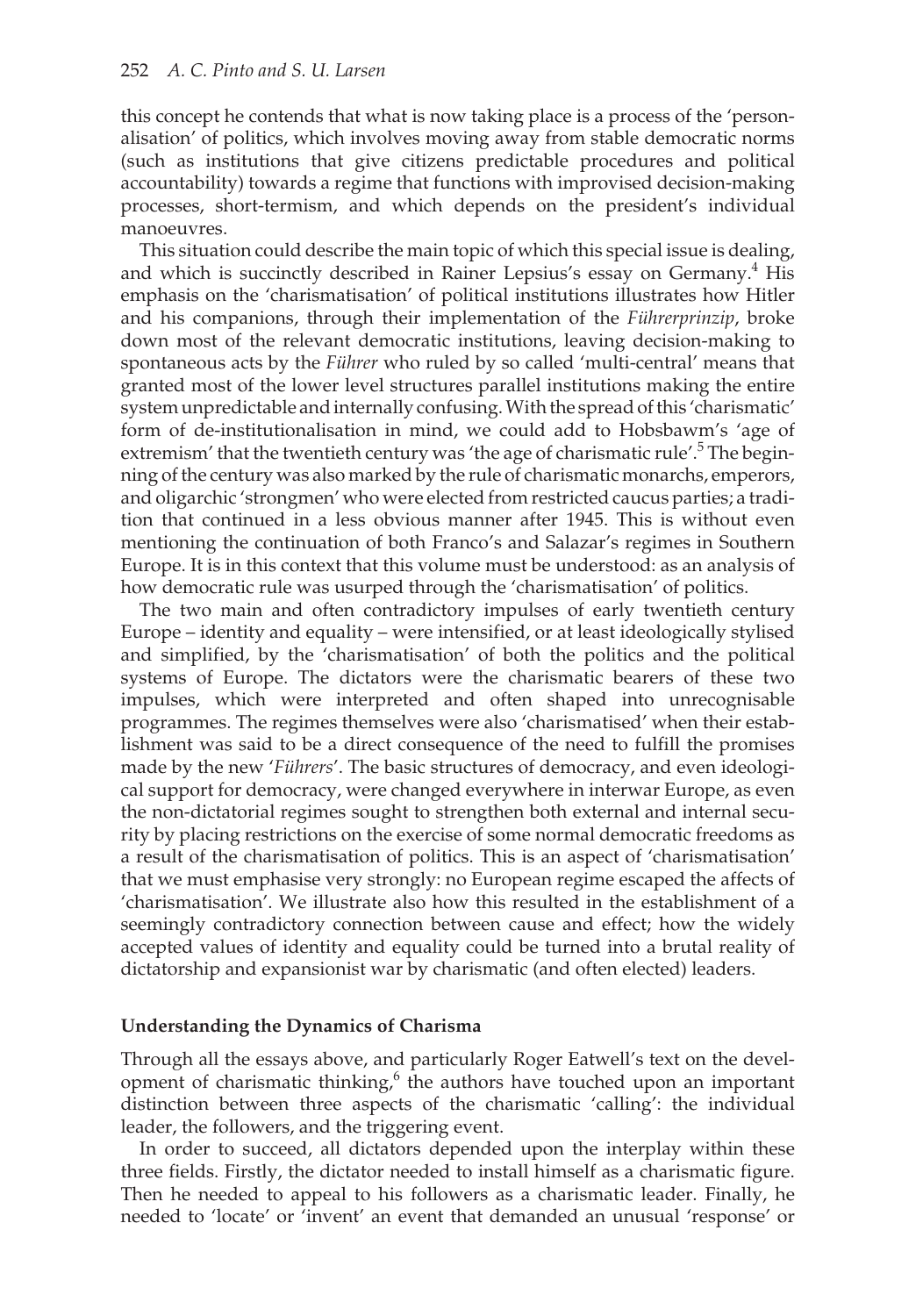this concept he contends that what is now taking place is a process of the 'personalisation' of politics, which involves moving away from stable democratic norms (such as institutions that give citizens predictable procedures and political accountability) towards a regime that functions with improvised decision-making processes, short-termism, and which depends on the president's individual manoeuvres.

This situation could describe the main topic of which this special issue is dealing, and which is succinctly described in Rainer Lepsius's essay on Germany.<sup>4</sup> His emphasis on the 'charismatisation' of political institutions illustrates how Hitler and his companions, through their implementation of the *Führerprinzip*, broke down most of the relevant democratic institutions, leaving decision-making to spontaneous acts by the *Führer* who ruled by so called 'multi-central' means that granted most of the lower level structures parallel institutions making the entire system unpredictable and internally confusing. With the spread of this 'charismatic' form of de-institutionalisation in mind, we could add to Hobsbawm's 'age of extremism' that the twentieth century was 'the age of charismatic rule'.<sup>5</sup> The beginning of the century was also marked by the rule of charismatic monarchs, emperors, and oligarchic 'strongmen' who were elected from restricted caucus parties; a tradition that continued in a less obvious manner after 1945. This is without even mentioning the continuation of both Franco's and Salazar's regimes in Southern Europe. It is in this context that this volume must be understood: as an analysis of how democratic rule was usurped through the 'charismatisation' of politics.

The two main and often contradictory impulses of early twentieth century Europe – identity and equality – were intensified, or at least ideologically stylised and simplified, by the 'charismatisation' of both the politics and the political systems of Europe. The dictators were the charismatic bearers of these two impulses, which were interpreted and often shaped into unrecognisable programmes. The regimes themselves were also 'charismatised' when their establishment was said to be a direct consequence of the need to fulfill the promises made by the new '*Führers*'. The basic structures of democracy, and even ideological support for democracy, were changed everywhere in interwar Europe, as even the non-dictatorial regimes sought to strengthen both external and internal security by placing restrictions on the exercise of some normal democratic freedoms as a result of the charismatisation of politics. This is an aspect of 'charismatisation' that we must emphasise very strongly: no European regime escaped the affects of 'charismatisation'. We illustrate also how this resulted in the establishment of a seemingly contradictory connection between cause and effect; how the widely accepted values of identity and equality could be turned into a brutal reality of dictatorship and expansionist war by charismatic (and often elected) leaders.

## **Understanding the Dynamics of Charisma**

Through all the essays above, and particularly Roger Eatwell's text on the development of charismatic thinking, $6$  the authors have touched upon an important distinction between three aspects of the charismatic 'calling': the individual leader, the followers, and the triggering event.

In order to succeed, all dictators depended upon the interplay within these three fields. Firstly, the dictator needed to install himself as a charismatic figure. Then he needed to appeal to his followers as a charismatic leader. Finally, he needed to 'locate' or 'invent' an event that demanded an unusual 'response' or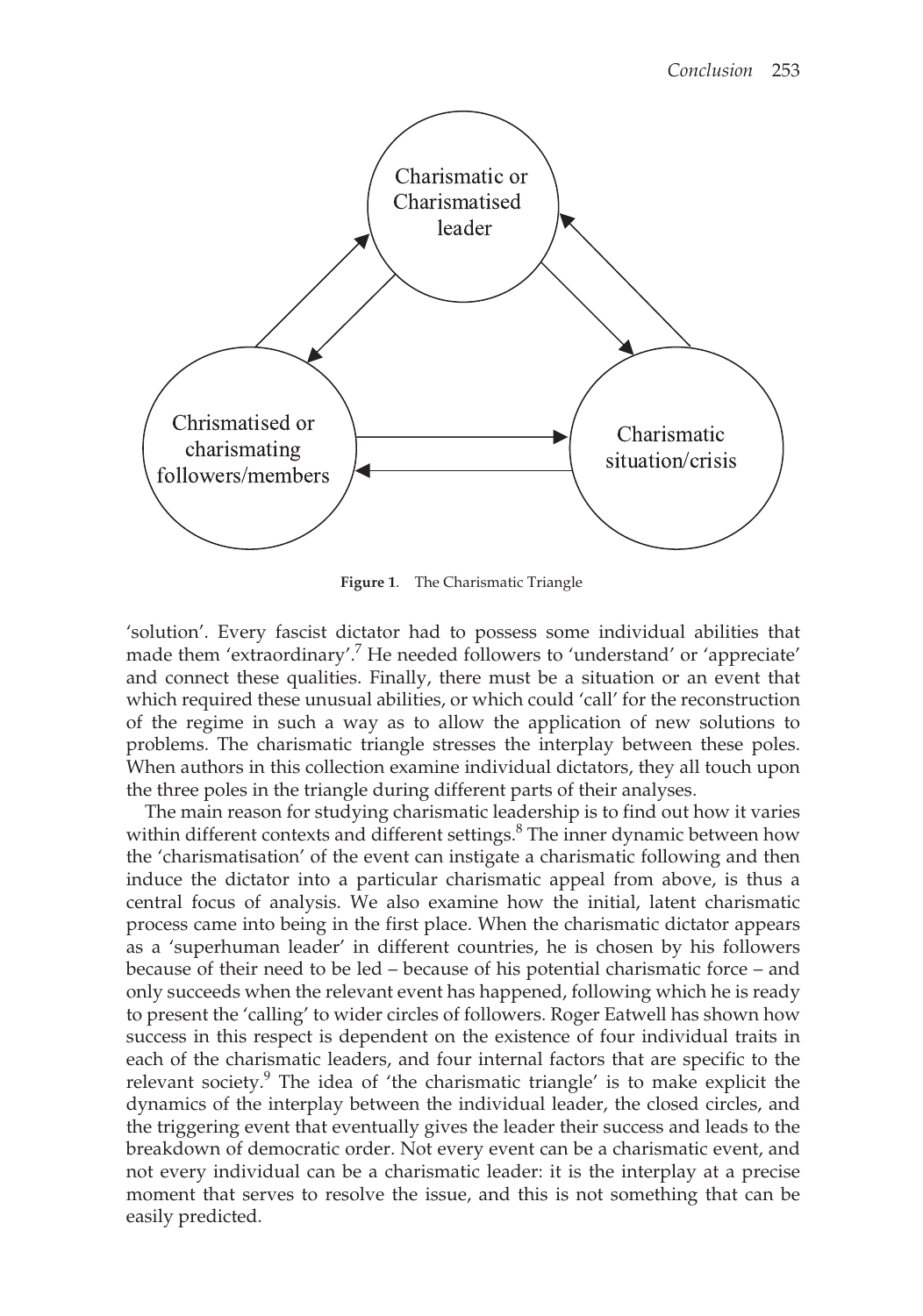

**Figure 1**. The Charismatic Triangle

'solution'. Every fascist dictator had to possess some individual abilities that made them 'extraordinary'.7 He needed followers to 'understand' or 'appreciate' and connect these qualities. Finally, there must be a situation or an event that which required these unusual abilities, or which could 'call' for the reconstruction of the regime in such a way as to allow the application of new solutions to problems. The charismatic triangle stresses the interplay between these poles. When authors in this collection examine individual dictators, they all touch upon the three poles in the triangle during different parts of their analyses.

The main reason for studying charismatic leadership is to find out how it varies within different contexts and different settings.<sup>8</sup> The inner dynamic between how the 'charismatisation' of the event can instigate a charismatic following and then induce the dictator into a particular charismatic appeal from above, is thus a central focus of analysis. We also examine how the initial, latent charismatic process came into being in the first place. When the charismatic dictator appears as a 'superhuman leader' in different countries, he is chosen by his followers because of their need to be led – because of his potential charismatic force – and only succeeds when the relevant event has happened, following which he is ready to present the 'calling' to wider circles of followers. Roger Eatwell has shown how success in this respect is dependent on the existence of four individual traits in each of the charismatic leaders, and four internal factors that are specific to the relevant society.9 The idea of 'the charismatic triangle' is to make explicit the dynamics of the interplay between the individual leader, the closed circles, and the triggering event that eventually gives the leader their success and leads to the breakdown of democratic order. Not every event can be a charismatic event, and not every individual can be a charismatic leader: it is the interplay at a precise moment that serves to resolve the issue, and this is not something that can be easily predicted.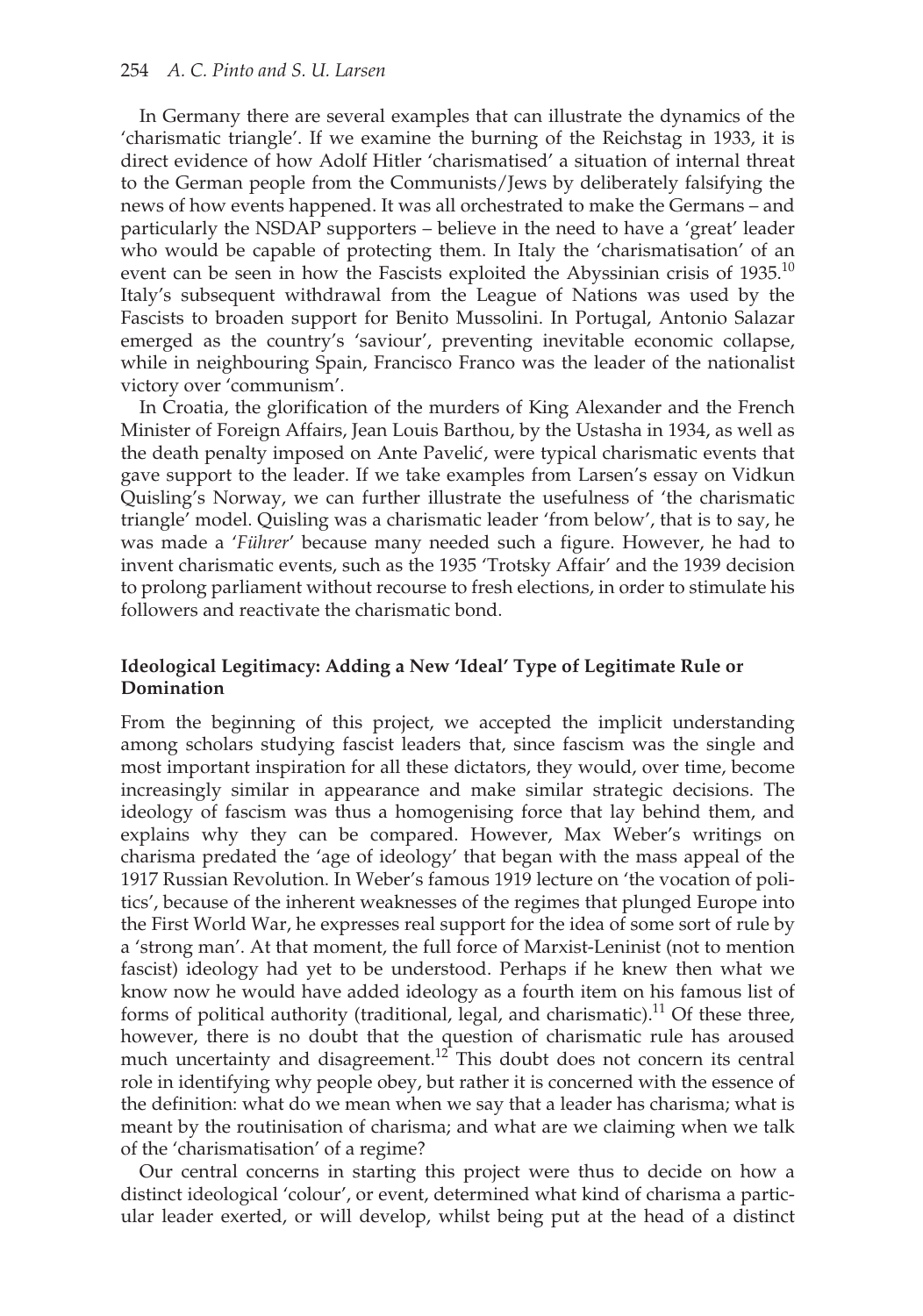In Germany there are several examples that can illustrate the dynamics of the 'charismatic triangle'. If we examine the burning of the Reichstag in 1933, it is direct evidence of how Adolf Hitler 'charismatised' a situation of internal threat to the German people from the Communists/Jews by deliberately falsifying the news of how events happened. It was all orchestrated to make the Germans – and particularly the NSDAP supporters – believe in the need to have a 'great' leader who would be capable of protecting them. In Italy the 'charismatisation' of an event can be seen in how the Fascists exploited the Abyssinian crisis of 1935.<sup>10</sup> Italy's subsequent withdrawal from the League of Nations was used by the Fascists to broaden support for Benito Mussolini. In Portugal, Antonio Salazar emerged as the country's 'saviour', preventing inevitable economic collapse, while in neighbouring Spain, Francisco Franco was the leader of the nationalist victory over 'communism'.

In Croatia, the glorification of the murders of King Alexander and the French Minister of Foreign Affairs, Jean Louis Barthou, by the Ustasha in 1934, as well as the death penalty imposed on Ante Pavelić, were typical charismatic events that gave support to the leader. If we take examples from Larsen's essay on Vidkun Quisling's Norway, we can further illustrate the usefulness of 'the charismatic triangle' model. Quisling was a charismatic leader 'from below', that is to say, he was made a '*Führer*' because many needed such a figure. However, he had to invent charismatic events, such as the 1935 'Trotsky Affair' and the 1939 decision to prolong parliament without recourse to fresh elections, in order to stimulate his followers and reactivate the charismatic bond.

## **Ideological Legitimacy: Adding a New 'Ideal' Type of Legitimate Rule or Domination**

From the beginning of this project, we accepted the implicit understanding among scholars studying fascist leaders that, since fascism was the single and most important inspiration for all these dictators, they would, over time, become increasingly similar in appearance and make similar strategic decisions. The ideology of fascism was thus a homogenising force that lay behind them, and explains why they can be compared. However, Max Weber's writings on charisma predated the 'age of ideology' that began with the mass appeal of the 1917 Russian Revolution. In Weber's famous 1919 lecture on 'the vocation of politics', because of the inherent weaknesses of the regimes that plunged Europe into the First World War, he expresses real support for the idea of some sort of rule by a 'strong man'. At that moment, the full force of Marxist-Leninist (not to mention fascist) ideology had yet to be understood. Perhaps if he knew then what we know now he would have added ideology as a fourth item on his famous list of forms of political authority (traditional, legal, and charismatic).<sup>11</sup> Of these three, however, there is no doubt that the question of charismatic rule has aroused much uncertainty and disagreement.<sup>12</sup> This doubt does not concern its central role in identifying why people obey, but rather it is concerned with the essence of the definition: what do we mean when we say that a leader has charisma; what is meant by the routinisation of charisma; and what are we claiming when we talk of the 'charismatisation' of a regime?

Our central concerns in starting this project were thus to decide on how a distinct ideological 'colour', or event, determined what kind of charisma a particular leader exerted, or will develop, whilst being put at the head of a distinct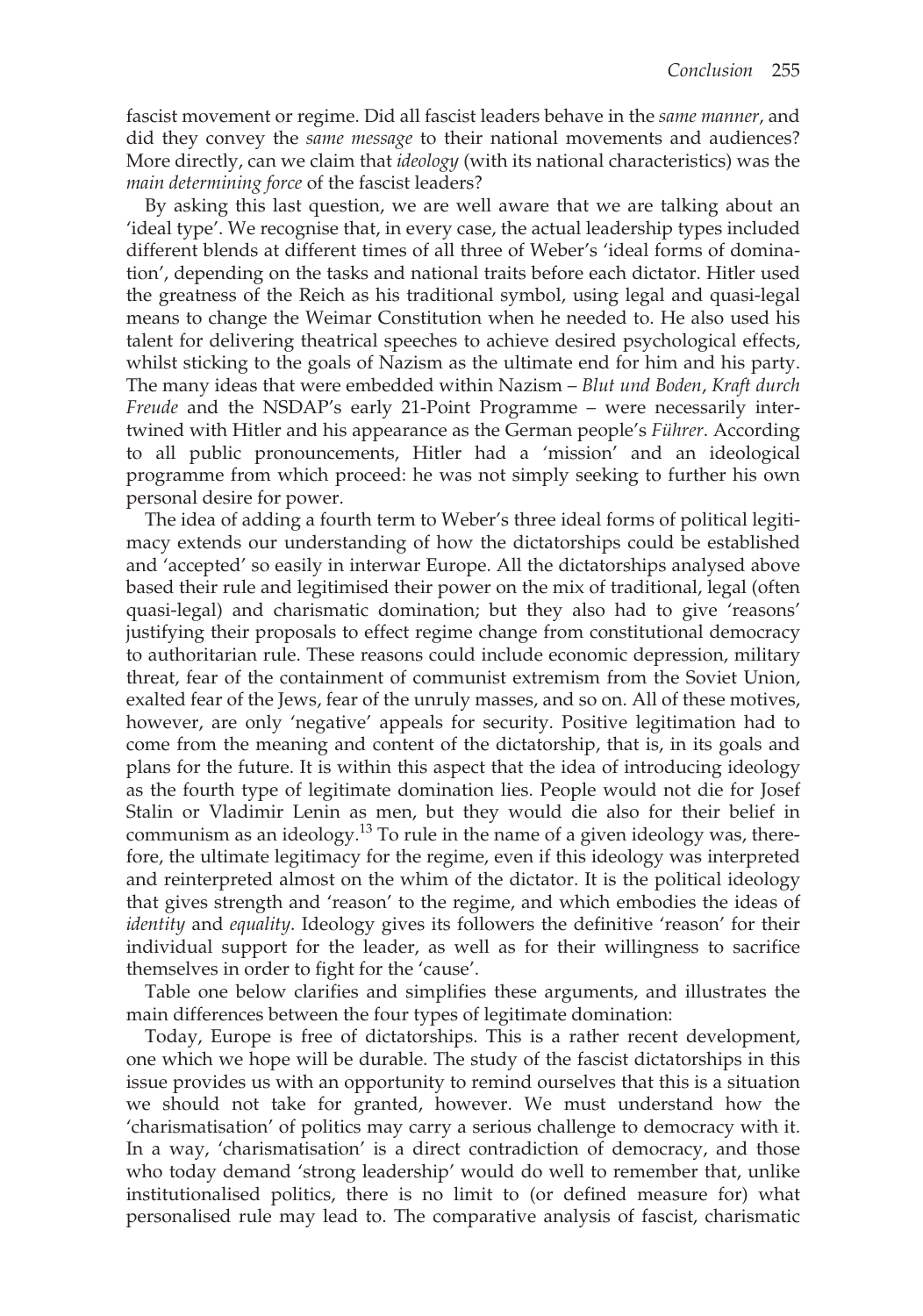fascist movement or regime. Did all fascist leaders behave in the *same manner*, and did they convey the *same message* to their national movements and audiences? More directly, can we claim that *ideology* (with its national characteristics) was the *main determining force* of the fascist leaders?

By asking this last question, we are well aware that we are talking about an 'ideal type'. We recognise that, in every case, the actual leadership types included different blends at different times of all three of Weber's 'ideal forms of domination', depending on the tasks and national traits before each dictator. Hitler used the greatness of the Reich as his traditional symbol, using legal and quasi-legal means to change the Weimar Constitution when he needed to. He also used his talent for delivering theatrical speeches to achieve desired psychological effects, whilst sticking to the goals of Nazism as the ultimate end for him and his party. The many ideas that were embedded within Nazism – *Blut und Boden*, *Kraft durch Freude* and the NSDAP's early 21-Point Programme – were necessarily intertwined with Hitler and his appearance as the German people's *Führer*. According to all public pronouncements, Hitler had a 'mission' and an ideological programme from which proceed: he was not simply seeking to further his own personal desire for power.

The idea of adding a fourth term to Weber's three ideal forms of political legitimacy extends our understanding of how the dictatorships could be established and 'accepted' so easily in interwar Europe. All the dictatorships analysed above based their rule and legitimised their power on the mix of traditional, legal (often quasi-legal) and charismatic domination; but they also had to give 'reasons' justifying their proposals to effect regime change from constitutional democracy to authoritarian rule. These reasons could include economic depression, military threat, fear of the containment of communist extremism from the Soviet Union, exalted fear of the Jews, fear of the unruly masses, and so on. All of these motives, however, are only 'negative' appeals for security. Positive legitimation had to come from the meaning and content of the dictatorship, that is, in its goals and plans for the future. It is within this aspect that the idea of introducing ideology as the fourth type of legitimate domination lies. People would not die for Josef Stalin or Vladimir Lenin as men, but they would die also for their belief in communism as an ideology.<sup>13</sup> To rule in the name of a given ideology was, therefore, the ultimate legitimacy for the regime, even if this ideology was interpreted and reinterpreted almost on the whim of the dictator. It is the political ideology that gives strength and 'reason' to the regime, and which embodies the ideas of *identity* and *equality*. Ideology gives its followers the definitive 'reason' for their individual support for the leader, as well as for their willingness to sacrifice themselves in order to fight for the 'cause'.

Table one below clarifies and simplifies these arguments, and illustrates the main differences between the four types of legitimate domination:

Today, Europe is free of dictatorships. This is a rather recent development, one which we hope will be durable. The study of the fascist dictatorships in this issue provides us with an opportunity to remind ourselves that this is a situation we should not take for granted, however. We must understand how the 'charismatisation' of politics may carry a serious challenge to democracy with it. In a way, 'charismatisation' is a direct contradiction of democracy, and those who today demand 'strong leadership' would do well to remember that, unlike institutionalised politics, there is no limit to (or defined measure for) what personalised rule may lead to. The comparative analysis of fascist, charismatic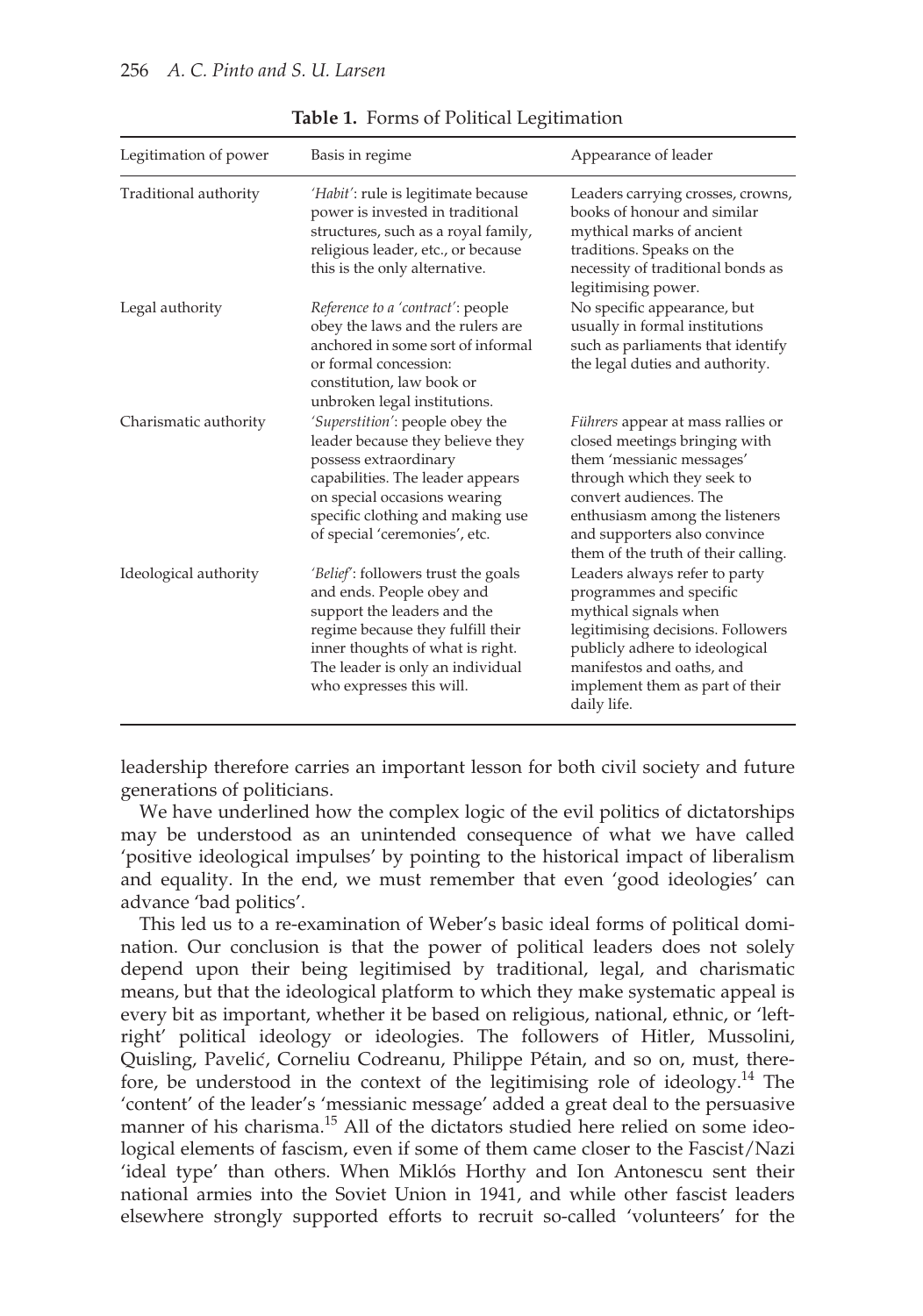| Legitimation of power | Basis in regime                                                                                                                                                                                                                          | Appearance of leader                                                                                                                                                                                                                                                    |
|-----------------------|------------------------------------------------------------------------------------------------------------------------------------------------------------------------------------------------------------------------------------------|-------------------------------------------------------------------------------------------------------------------------------------------------------------------------------------------------------------------------------------------------------------------------|
| Traditional authority | 'Habit': rule is legitimate because<br>power is invested in traditional<br>structures, such as a royal family,<br>religious leader, etc., or because<br>this is the only alternative.                                                    | Leaders carrying crosses, crowns,<br>books of honour and similar<br>mythical marks of ancient<br>traditions. Speaks on the<br>necessity of traditional bonds as<br>legitimising power.                                                                                  |
| Legal authority       | Reference to a 'contract': people<br>obey the laws and the rulers are<br>anchored in some sort of informal<br>or formal concession:<br>constitution, law book or<br>unbroken legal institutions.                                         | No specific appearance, but<br>usually in formal institutions<br>such as parliaments that identify<br>the legal duties and authority.                                                                                                                                   |
| Charismatic authority | 'Superstition': people obey the<br>leader because they believe they<br>possess extraordinary<br>capabilities. The leader appears<br>on special occasions wearing<br>specific clothing and making use<br>of special 'ceremonies', etc.    | <i>Führers</i> appear at mass rallies or<br>closed meetings bringing with<br>them 'messianic messages'<br>through which they seek to<br>convert audiences. The<br>enthusiasm among the listeners<br>and supporters also convince<br>them of the truth of their calling. |
| Ideological authority | 'Belief': followers trust the goals<br>and ends. People obey and<br>support the leaders and the<br>regime because they fulfill their<br>inner thoughts of what is right.<br>The leader is only an individual<br>who expresses this will. | Leaders always refer to party<br>programmes and specific<br>mythical signals when<br>legitimising decisions. Followers<br>publicly adhere to ideological<br>manifestos and oaths, and<br>implement them as part of their<br>daily life.                                 |

**Table 1.** Forms of Political Legitimation

leadership therefore carries an important lesson for both civil society and future generations of politicians.

We have underlined how the complex logic of the evil politics of dictatorships may be understood as an unintended consequence of what we have called 'positive ideological impulses' by pointing to the historical impact of liberalism and equality. In the end, we must remember that even 'good ideologies' can advance 'bad politics'.

This led us to a re-examination of Weber's basic ideal forms of political domination. Our conclusion is that the power of political leaders does not solely depend upon their being legitimised by traditional, legal, and charismatic means, but that the ideological platform to which they make systematic appeal is every bit as important, whether it be based on religious, national, ethnic, or 'leftright' political ideology or ideologies. The followers of Hitler, Mussolini, Quisling, Pavelić, Corneliu Codreanu, Philippe Pétain, and so on, must, therefore, be understood in the context of the legitimising role of ideology.<sup>14</sup> The 'content' of the leader's 'messianic message' added a great deal to the persuasive manner of his charisma.<sup>15</sup> All of the dictators studied here relied on some ideological elements of fascism, even if some of them came closer to the Fascist/Nazi 'ideal type' than others. When Miklós Horthy and Ion Antonescu sent their national armies into the Soviet Union in 1941, and while other fascist leaders elsewhere strongly supported efforts to recruit so-called 'volunteers' for the